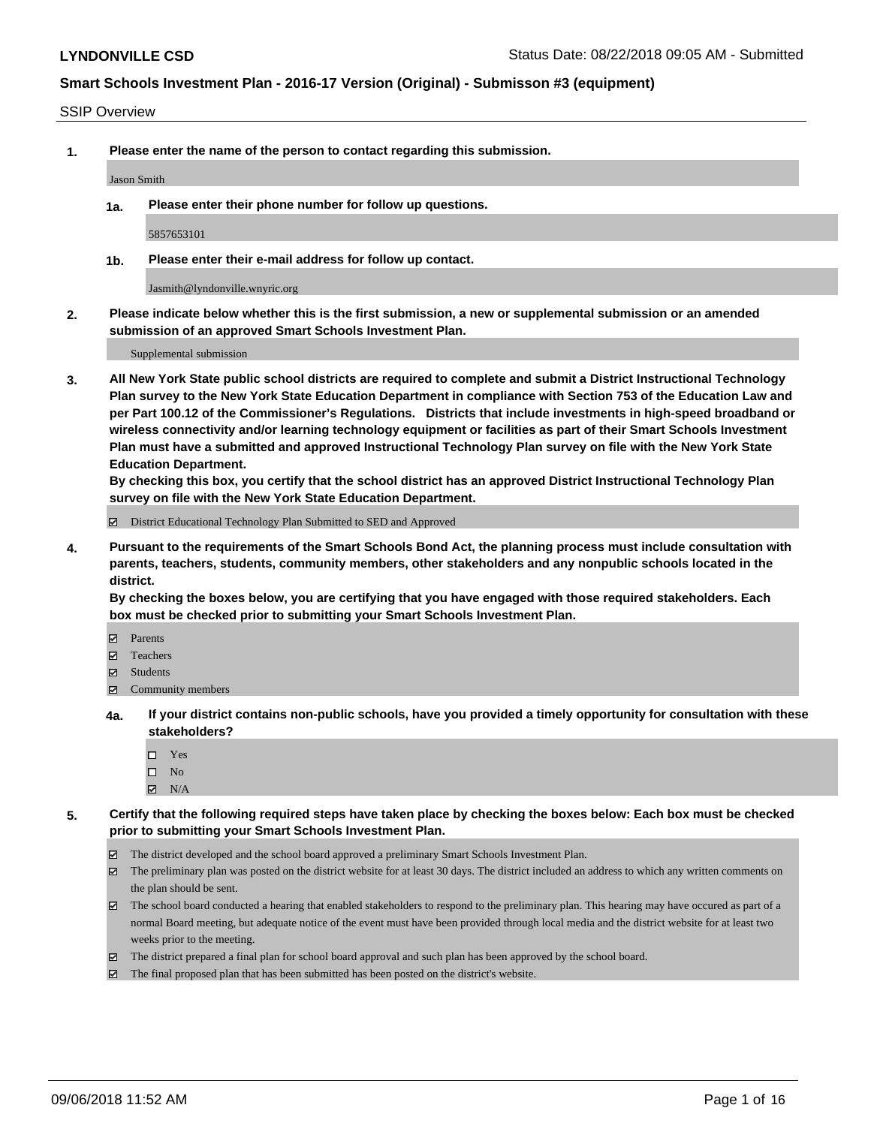#### SSIP Overview

**1. Please enter the name of the person to contact regarding this submission.**

Jason Smith

**1a. Please enter their phone number for follow up questions.**

5857653101

**1b. Please enter their e-mail address for follow up contact.**

Jasmith@lyndonville.wnyric.org

**2. Please indicate below whether this is the first submission, a new or supplemental submission or an amended submission of an approved Smart Schools Investment Plan.**

Supplemental submission

**3. All New York State public school districts are required to complete and submit a District Instructional Technology Plan survey to the New York State Education Department in compliance with Section 753 of the Education Law and per Part 100.12 of the Commissioner's Regulations. Districts that include investments in high-speed broadband or wireless connectivity and/or learning technology equipment or facilities as part of their Smart Schools Investment Plan must have a submitted and approved Instructional Technology Plan survey on file with the New York State Education Department.** 

**By checking this box, you certify that the school district has an approved District Instructional Technology Plan survey on file with the New York State Education Department.**

District Educational Technology Plan Submitted to SED and Approved

**4. Pursuant to the requirements of the Smart Schools Bond Act, the planning process must include consultation with parents, teachers, students, community members, other stakeholders and any nonpublic schools located in the district.** 

**By checking the boxes below, you are certifying that you have engaged with those required stakeholders. Each box must be checked prior to submitting your Smart Schools Investment Plan.**

- **Parents**
- Teachers
- **☑** Students
- **☑** Community members
- **4a. If your district contains non-public schools, have you provided a timely opportunity for consultation with these stakeholders?**
	- Yes
	- $\square$  No
	- $\boxtimes$  N/A
- **5. Certify that the following required steps have taken place by checking the boxes below: Each box must be checked prior to submitting your Smart Schools Investment Plan.**
	- The district developed and the school board approved a preliminary Smart Schools Investment Plan.
	- $\boxtimes$  The preliminary plan was posted on the district website for at least 30 days. The district included an address to which any written comments on the plan should be sent.
	- The school board conducted a hearing that enabled stakeholders to respond to the preliminary plan. This hearing may have occured as part of a normal Board meeting, but adequate notice of the event must have been provided through local media and the district website for at least two weeks prior to the meeting.
	- The district prepared a final plan for school board approval and such plan has been approved by the school board.
	- The final proposed plan that has been submitted has been posted on the district's website.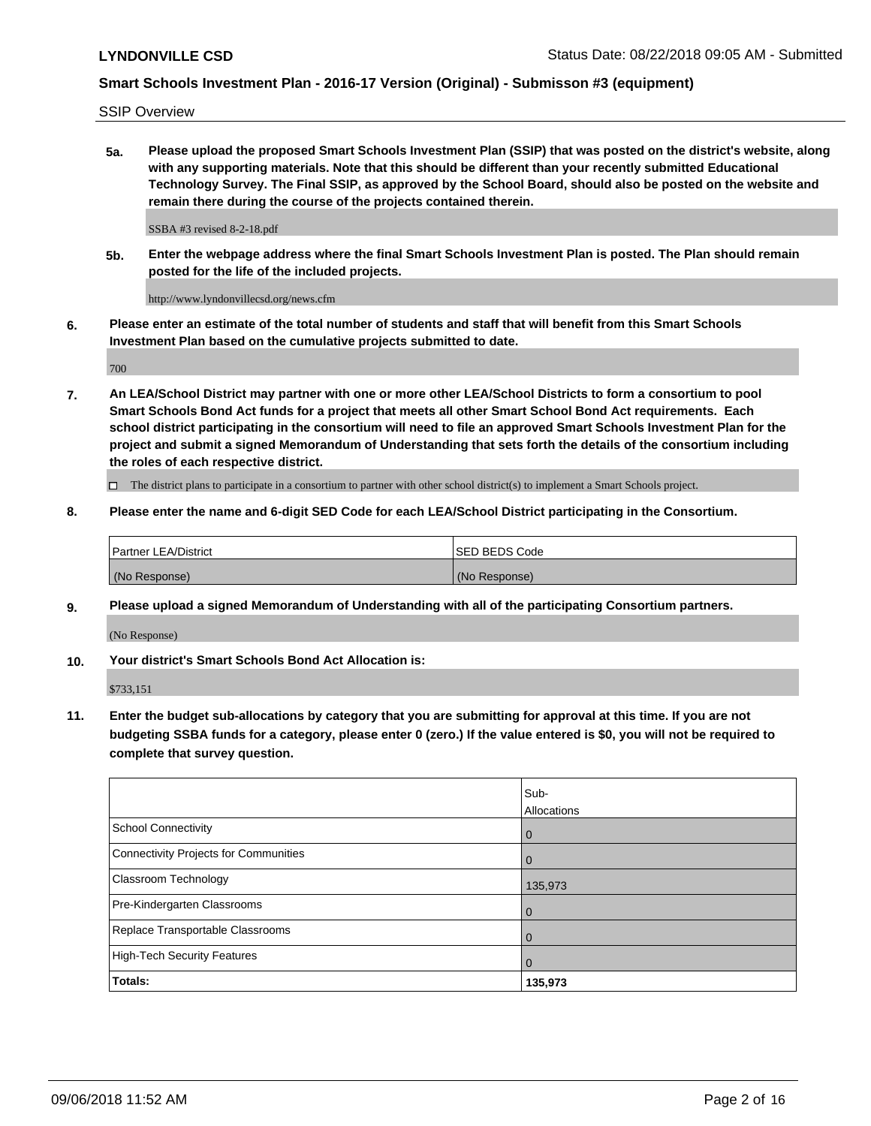SSIP Overview

**5a. Please upload the proposed Smart Schools Investment Plan (SSIP) that was posted on the district's website, along with any supporting materials. Note that this should be different than your recently submitted Educational Technology Survey. The Final SSIP, as approved by the School Board, should also be posted on the website and remain there during the course of the projects contained therein.**

SSBA #3 revised 8-2-18.pdf

**5b. Enter the webpage address where the final Smart Schools Investment Plan is posted. The Plan should remain posted for the life of the included projects.**

http://www.lyndonvillecsd.org/news.cfm

**6. Please enter an estimate of the total number of students and staff that will benefit from this Smart Schools Investment Plan based on the cumulative projects submitted to date.**

700

**7. An LEA/School District may partner with one or more other LEA/School Districts to form a consortium to pool Smart Schools Bond Act funds for a project that meets all other Smart School Bond Act requirements. Each school district participating in the consortium will need to file an approved Smart Schools Investment Plan for the project and submit a signed Memorandum of Understanding that sets forth the details of the consortium including the roles of each respective district.**

 $\Box$  The district plans to participate in a consortium to partner with other school district(s) to implement a Smart Schools project.

### **8. Please enter the name and 6-digit SED Code for each LEA/School District participating in the Consortium.**

| Partner LEA/District | <b>ISED BEDS Code</b> |
|----------------------|-----------------------|
| (No Response)        | (No Response)         |

### **9. Please upload a signed Memorandum of Understanding with all of the participating Consortium partners.**

(No Response)

**10. Your district's Smart Schools Bond Act Allocation is:**

\$733,151

**11. Enter the budget sub-allocations by category that you are submitting for approval at this time. If you are not budgeting SSBA funds for a category, please enter 0 (zero.) If the value entered is \$0, you will not be required to complete that survey question.**

|                                       | Sub-<br>Allocations |
|---------------------------------------|---------------------|
| <b>School Connectivity</b>            | $\mathbf 0$         |
| Connectivity Projects for Communities | $\Omega$            |
| <b>Classroom Technology</b>           | 135,973             |
| Pre-Kindergarten Classrooms           | 0                   |
| Replace Transportable Classrooms      | 0                   |
| High-Tech Security Features           | $\Omega$            |
| Totals:                               | 135,973             |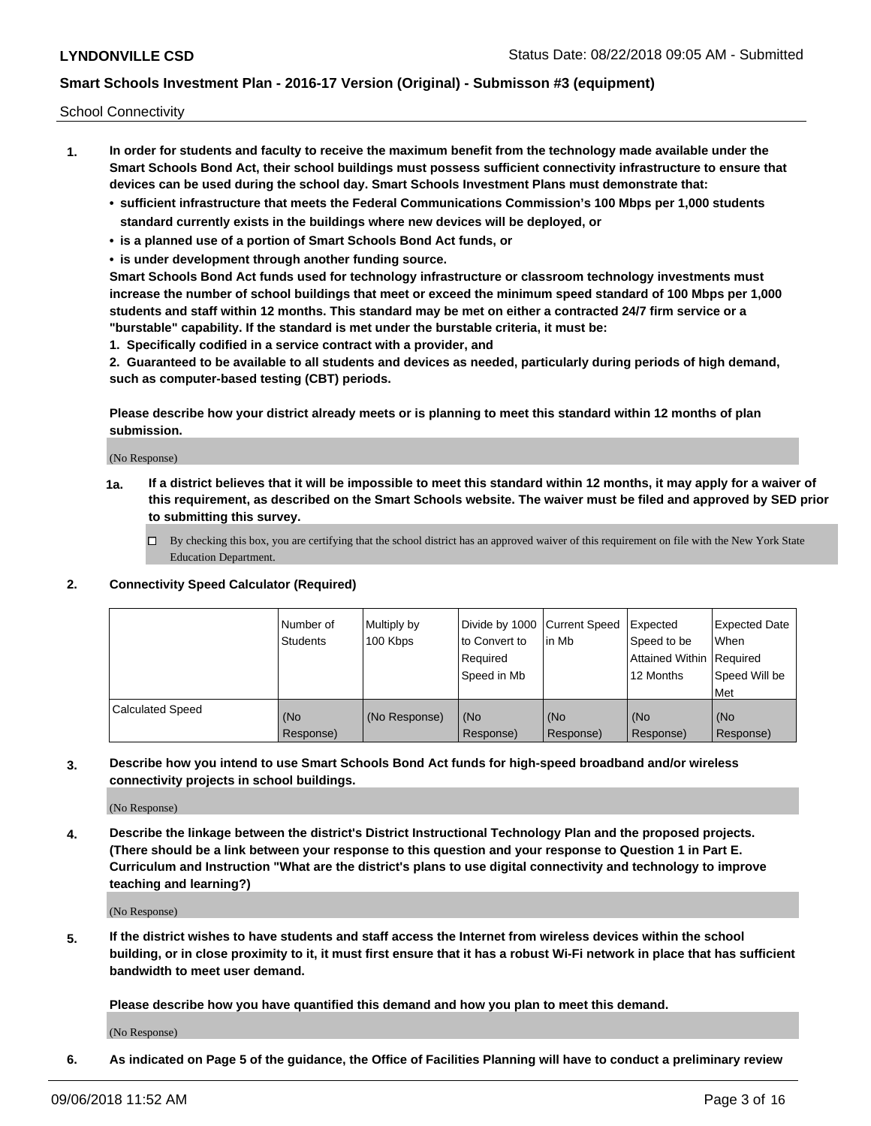School Connectivity

- **1. In order for students and faculty to receive the maximum benefit from the technology made available under the Smart Schools Bond Act, their school buildings must possess sufficient connectivity infrastructure to ensure that devices can be used during the school day. Smart Schools Investment Plans must demonstrate that:**
	- **• sufficient infrastructure that meets the Federal Communications Commission's 100 Mbps per 1,000 students standard currently exists in the buildings where new devices will be deployed, or**
	- **• is a planned use of a portion of Smart Schools Bond Act funds, or**
	- **• is under development through another funding source.**

**Smart Schools Bond Act funds used for technology infrastructure or classroom technology investments must increase the number of school buildings that meet or exceed the minimum speed standard of 100 Mbps per 1,000 students and staff within 12 months. This standard may be met on either a contracted 24/7 firm service or a "burstable" capability. If the standard is met under the burstable criteria, it must be:**

**1. Specifically codified in a service contract with a provider, and**

**2. Guaranteed to be available to all students and devices as needed, particularly during periods of high demand, such as computer-based testing (CBT) periods.**

**Please describe how your district already meets or is planning to meet this standard within 12 months of plan submission.**

(No Response)

**1a. If a district believes that it will be impossible to meet this standard within 12 months, it may apply for a waiver of this requirement, as described on the Smart Schools website. The waiver must be filed and approved by SED prior to submitting this survey.**

 $\Box$  By checking this box, you are certifying that the school district has an approved waiver of this requirement on file with the New York State Education Department.

**2. Connectivity Speed Calculator (Required)**

|                         | l Number of<br><b>Students</b> | Multiply by<br>100 Kbps | Divide by 1000 Current Speed<br>to Convert to<br>Required<br>Speed in Mb | lin Mb           | Expected<br>Speed to be<br>Attained Within   Required<br>12 Months | <b>Expected Date</b><br><b>When</b><br>Speed Will be<br><b>Met</b> |
|-------------------------|--------------------------------|-------------------------|--------------------------------------------------------------------------|------------------|--------------------------------------------------------------------|--------------------------------------------------------------------|
| <b>Calculated Speed</b> | (No<br>Response)               | (No Response)           | (No<br>Response)                                                         | (No<br>Response) | (No<br>Response)                                                   | (No<br>Response)                                                   |

**3. Describe how you intend to use Smart Schools Bond Act funds for high-speed broadband and/or wireless connectivity projects in school buildings.**

(No Response)

**4. Describe the linkage between the district's District Instructional Technology Plan and the proposed projects. (There should be a link between your response to this question and your response to Question 1 in Part E. Curriculum and Instruction "What are the district's plans to use digital connectivity and technology to improve teaching and learning?)**

(No Response)

**5. If the district wishes to have students and staff access the Internet from wireless devices within the school building, or in close proximity to it, it must first ensure that it has a robust Wi-Fi network in place that has sufficient bandwidth to meet user demand.**

**Please describe how you have quantified this demand and how you plan to meet this demand.**

(No Response)

**6. As indicated on Page 5 of the guidance, the Office of Facilities Planning will have to conduct a preliminary review**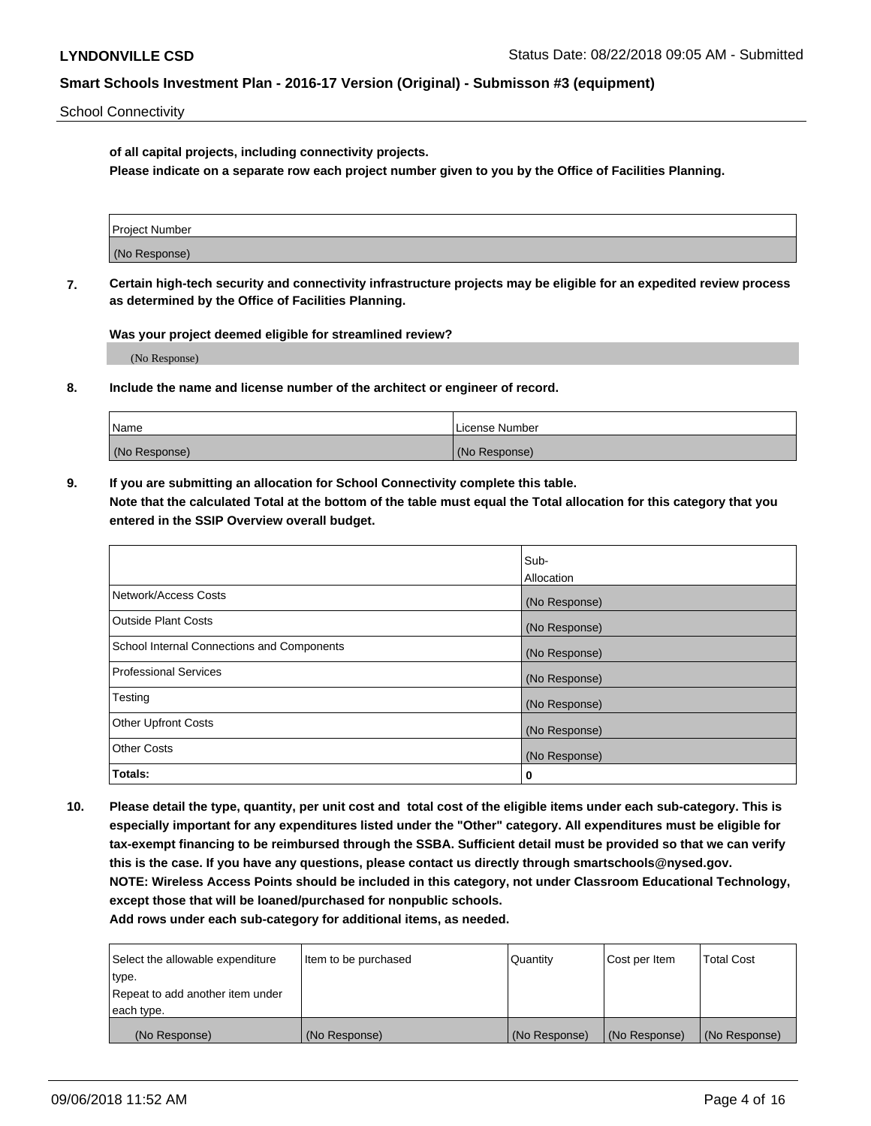School Connectivity

**of all capital projects, including connectivity projects.**

**Please indicate on a separate row each project number given to you by the Office of Facilities Planning.**

| Project Number |  |
|----------------|--|
|                |  |
|                |  |
| (No Response)  |  |
|                |  |

**7. Certain high-tech security and connectivity infrastructure projects may be eligible for an expedited review process as determined by the Office of Facilities Planning.**

**Was your project deemed eligible for streamlined review?**

(No Response)

**8. Include the name and license number of the architect or engineer of record.**

| Name          | License Number |
|---------------|----------------|
| (No Response) | (No Response)  |

**9. If you are submitting an allocation for School Connectivity complete this table. Note that the calculated Total at the bottom of the table must equal the Total allocation for this category that you entered in the SSIP Overview overall budget.** 

|                                            | Sub-              |
|--------------------------------------------|-------------------|
|                                            | <b>Allocation</b> |
| Network/Access Costs                       | (No Response)     |
| <b>Outside Plant Costs</b>                 | (No Response)     |
| School Internal Connections and Components | (No Response)     |
| <b>Professional Services</b>               | (No Response)     |
| Testing                                    | (No Response)     |
| <b>Other Upfront Costs</b>                 | (No Response)     |
| <b>Other Costs</b>                         | (No Response)     |
| Totals:                                    | 0                 |

**10. Please detail the type, quantity, per unit cost and total cost of the eligible items under each sub-category. This is especially important for any expenditures listed under the "Other" category. All expenditures must be eligible for tax-exempt financing to be reimbursed through the SSBA. Sufficient detail must be provided so that we can verify this is the case. If you have any questions, please contact us directly through smartschools@nysed.gov. NOTE: Wireless Access Points should be included in this category, not under Classroom Educational Technology, except those that will be loaned/purchased for nonpublic schools.**

| Select the allowable expenditure | Item to be purchased | Quantity      | Cost per Item | <b>Total Cost</b> |
|----------------------------------|----------------------|---------------|---------------|-------------------|
| type.                            |                      |               |               |                   |
| Repeat to add another item under |                      |               |               |                   |
| each type.                       |                      |               |               |                   |
| (No Response)                    | (No Response)        | (No Response) | (No Response) | (No Response)     |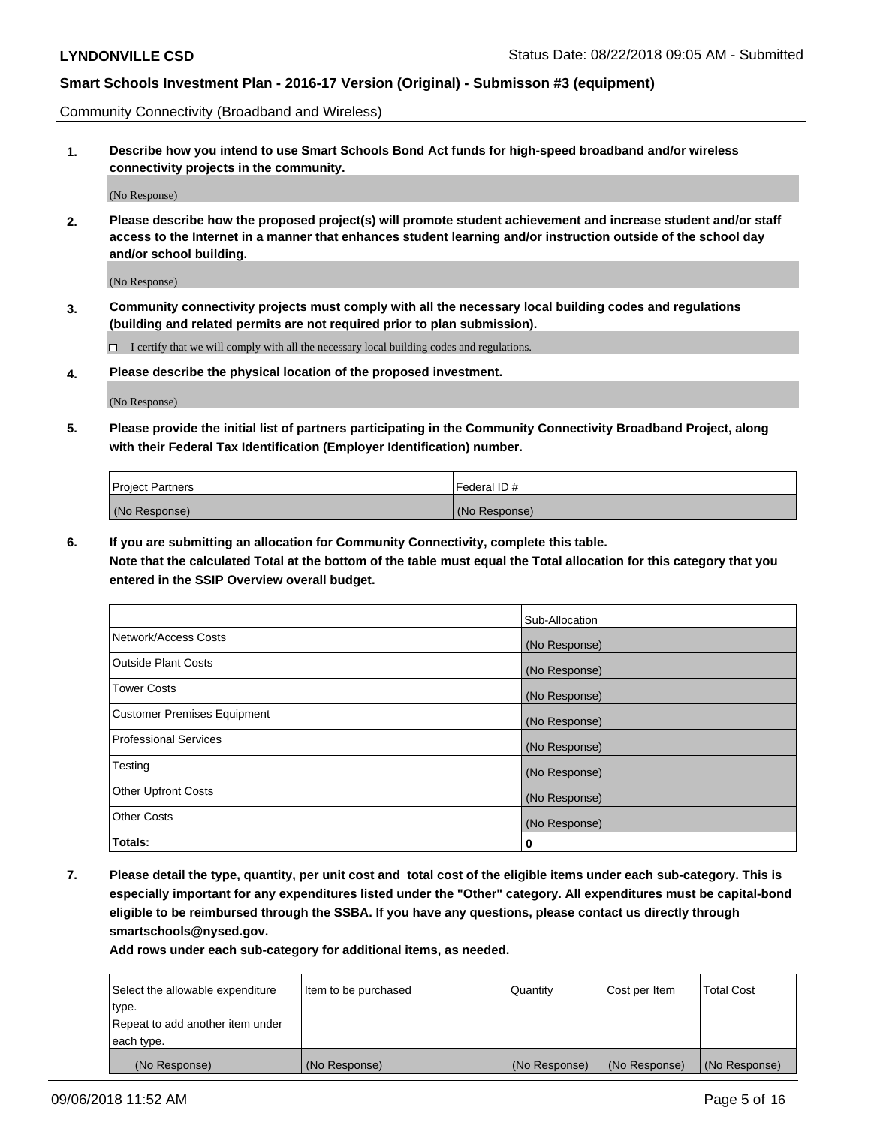Community Connectivity (Broadband and Wireless)

**1. Describe how you intend to use Smart Schools Bond Act funds for high-speed broadband and/or wireless connectivity projects in the community.**

(No Response)

**2. Please describe how the proposed project(s) will promote student achievement and increase student and/or staff access to the Internet in a manner that enhances student learning and/or instruction outside of the school day and/or school building.**

(No Response)

**3. Community connectivity projects must comply with all the necessary local building codes and regulations (building and related permits are not required prior to plan submission).**

 $\Box$  I certify that we will comply with all the necessary local building codes and regulations.

**4. Please describe the physical location of the proposed investment.**

(No Response)

**5. Please provide the initial list of partners participating in the Community Connectivity Broadband Project, along with their Federal Tax Identification (Employer Identification) number.**

| <b>Project Partners</b> | l Federal ID # |
|-------------------------|----------------|
| (No Response)           | (No Response)  |

**6. If you are submitting an allocation for Community Connectivity, complete this table.**

**Note that the calculated Total at the bottom of the table must equal the Total allocation for this category that you entered in the SSIP Overview overall budget.**

|                                    | Sub-Allocation |
|------------------------------------|----------------|
| Network/Access Costs               | (No Response)  |
| <b>Outside Plant Costs</b>         | (No Response)  |
| <b>Tower Costs</b>                 | (No Response)  |
| <b>Customer Premises Equipment</b> | (No Response)  |
| <b>Professional Services</b>       | (No Response)  |
| Testing                            | (No Response)  |
| <b>Other Upfront Costs</b>         | (No Response)  |
| <b>Other Costs</b>                 | (No Response)  |
| Totals:                            | 0              |

**7. Please detail the type, quantity, per unit cost and total cost of the eligible items under each sub-category. This is especially important for any expenditures listed under the "Other" category. All expenditures must be capital-bond eligible to be reimbursed through the SSBA. If you have any questions, please contact us directly through smartschools@nysed.gov.**

| Select the allowable expenditure | Item to be purchased | Quantity      | Cost per Item | <b>Total Cost</b> |
|----------------------------------|----------------------|---------------|---------------|-------------------|
| type.                            |                      |               |               |                   |
| Repeat to add another item under |                      |               |               |                   |
| each type.                       |                      |               |               |                   |
| (No Response)                    | (No Response)        | (No Response) | (No Response) | (No Response)     |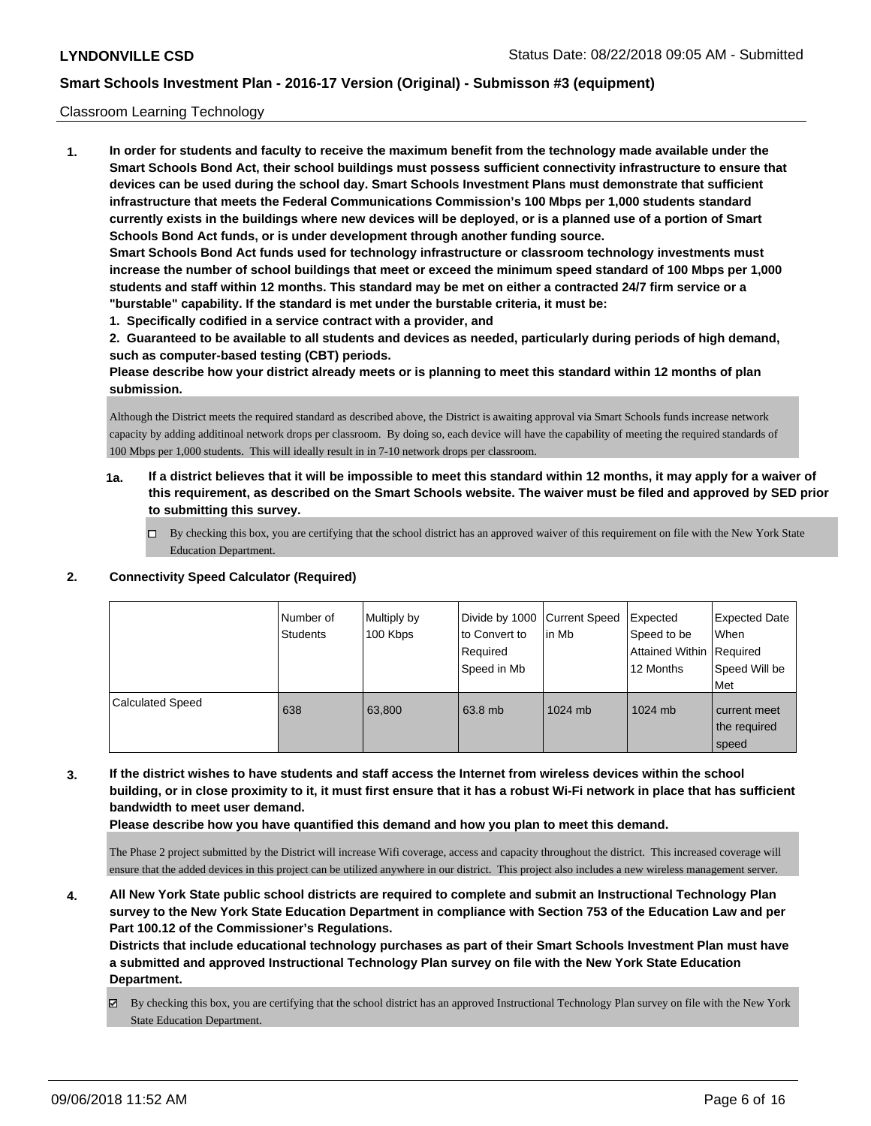### Classroom Learning Technology

**1. In order for students and faculty to receive the maximum benefit from the technology made available under the Smart Schools Bond Act, their school buildings must possess sufficient connectivity infrastructure to ensure that devices can be used during the school day. Smart Schools Investment Plans must demonstrate that sufficient infrastructure that meets the Federal Communications Commission's 100 Mbps per 1,000 students standard currently exists in the buildings where new devices will be deployed, or is a planned use of a portion of Smart Schools Bond Act funds, or is under development through another funding source. Smart Schools Bond Act funds used for technology infrastructure or classroom technology investments must increase the number of school buildings that meet or exceed the minimum speed standard of 100 Mbps per 1,000 students and staff within 12 months. This standard may be met on either a contracted 24/7 firm service or a "burstable" capability. If the standard is met under the burstable criteria, it must be:**

**1. Specifically codified in a service contract with a provider, and**

**2. Guaranteed to be available to all students and devices as needed, particularly during periods of high demand, such as computer-based testing (CBT) periods.**

**Please describe how your district already meets or is planning to meet this standard within 12 months of plan submission.**

Although the District meets the required standard as described above, the District is awaiting approval via Smart Schools funds increase network capacity by adding additinoal network drops per classroom. By doing so, each device will have the capability of meeting the required standards of 100 Mbps per 1,000 students. This will ideally result in in 7-10 network drops per classroom.

- **1a. If a district believes that it will be impossible to meet this standard within 12 months, it may apply for a waiver of this requirement, as described on the Smart Schools website. The waiver must be filed and approved by SED prior to submitting this survey.**
	- By checking this box, you are certifying that the school district has an approved waiver of this requirement on file with the New York State Education Department.

### **2. Connectivity Speed Calculator (Required)**

|                         | Number of<br><b>Students</b> | Multiply by<br>100 Kbps | Divide by 1000 Current Speed<br>to Convert to<br>Required<br>Speed in Mb | lin Mb    | Expected<br>Speed to be<br>Attained Within   Required<br>12 Months | <b>Expected Date</b><br>When<br>Speed Will be<br><b>Met</b> |
|-------------------------|------------------------------|-------------------------|--------------------------------------------------------------------------|-----------|--------------------------------------------------------------------|-------------------------------------------------------------|
| <b>Calculated Speed</b> | 638                          | 63,800                  | 63.8 mb                                                                  | $1024$ mb | 1024 mb                                                            | current meet<br>the required<br>speed                       |

**3. If the district wishes to have students and staff access the Internet from wireless devices within the school building, or in close proximity to it, it must first ensure that it has a robust Wi-Fi network in place that has sufficient bandwidth to meet user demand.**

**Please describe how you have quantified this demand and how you plan to meet this demand.**

The Phase 2 project submitted by the District will increase Wifi coverage, access and capacity throughout the district. This increased coverage will ensure that the added devices in this project can be utilized anywhere in our district. This project also includes a new wireless management server.

**4. All New York State public school districts are required to complete and submit an Instructional Technology Plan survey to the New York State Education Department in compliance with Section 753 of the Education Law and per Part 100.12 of the Commissioner's Regulations.**

**Districts that include educational technology purchases as part of their Smart Schools Investment Plan must have a submitted and approved Instructional Technology Plan survey on file with the New York State Education Department.**

By checking this box, you are certifying that the school district has an approved Instructional Technology Plan survey on file with the New York State Education Department.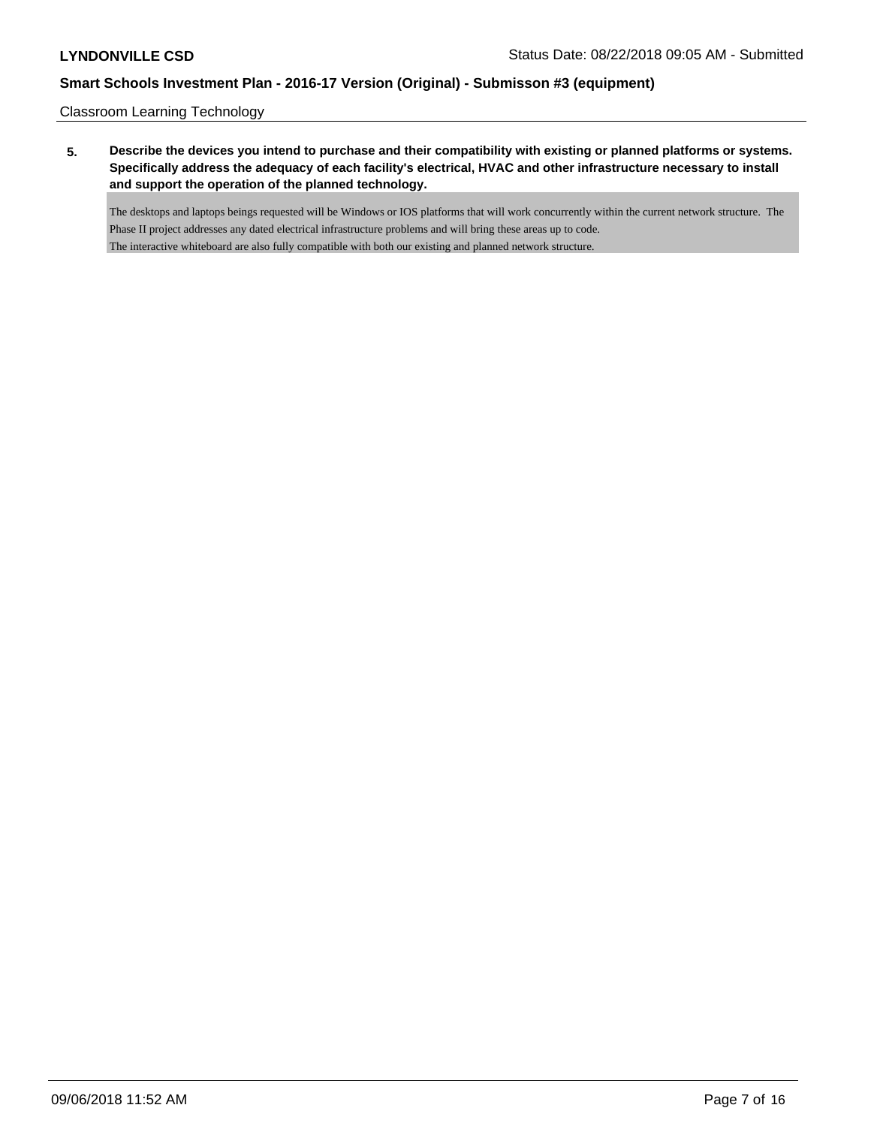Classroom Learning Technology

**5. Describe the devices you intend to purchase and their compatibility with existing or planned platforms or systems. Specifically address the adequacy of each facility's electrical, HVAC and other infrastructure necessary to install and support the operation of the planned technology.**

The desktops and laptops beings requested will be Windows or IOS platforms that will work concurrently within the current network structure. The Phase II project addresses any dated electrical infrastructure problems and will bring these areas up to code. The interactive whiteboard are also fully compatible with both our existing and planned network structure.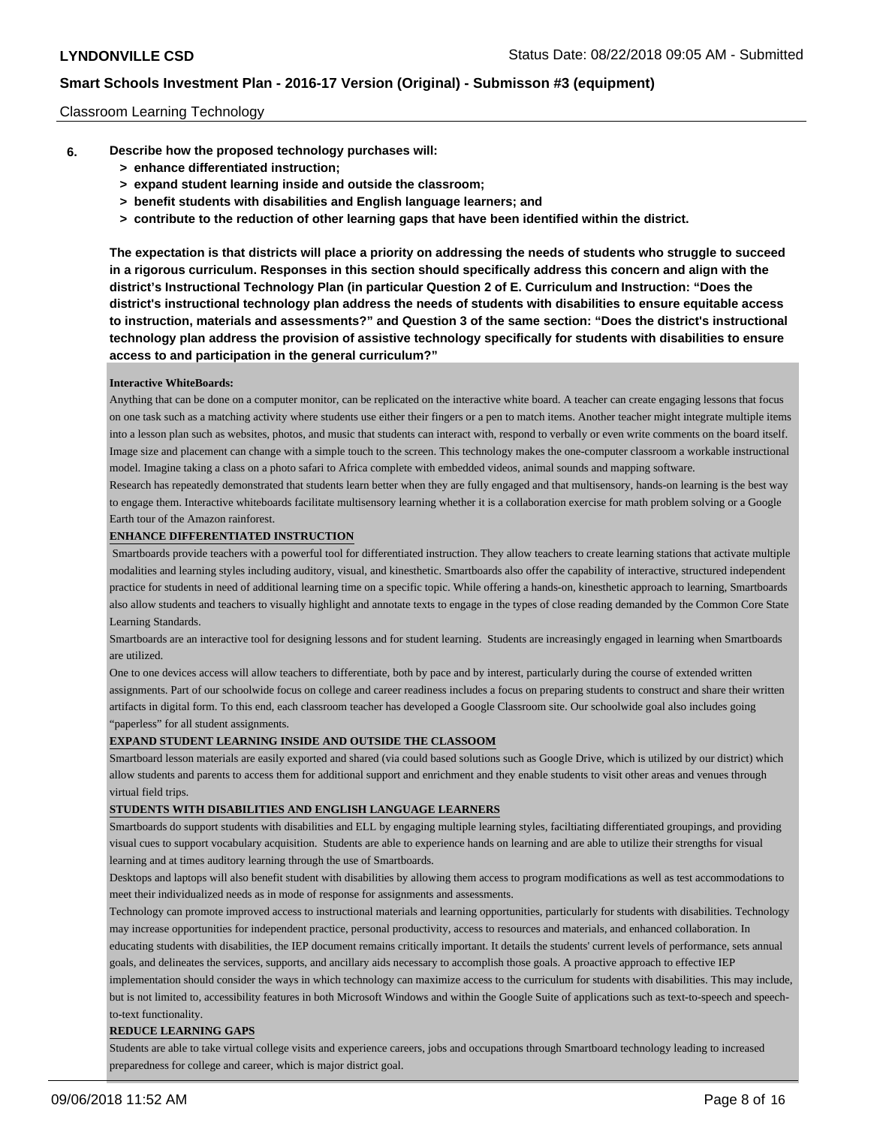### Classroom Learning Technology

- **6. Describe how the proposed technology purchases will:**
	- **> enhance differentiated instruction;**
	- **> expand student learning inside and outside the classroom;**
	- **> benefit students with disabilities and English language learners; and**
	- **> contribute to the reduction of other learning gaps that have been identified within the district.**

**The expectation is that districts will place a priority on addressing the needs of students who struggle to succeed in a rigorous curriculum. Responses in this section should specifically address this concern and align with the district's Instructional Technology Plan (in particular Question 2 of E. Curriculum and Instruction: "Does the district's instructional technology plan address the needs of students with disabilities to ensure equitable access to instruction, materials and assessments?" and Question 3 of the same section: "Does the district's instructional technology plan address the provision of assistive technology specifically for students with disabilities to ensure access to and participation in the general curriculum?"**

### **Interactive WhiteBoards:**

Anything that can be done on a computer monitor, can be replicated on the interactive white board. A teacher can create engaging lessons that focus on one task such as a matching activity where students use either their fingers or a pen to match items. Another teacher might integrate multiple items into a lesson plan such as websites, photos, and music that students can interact with, respond to verbally or even write comments on the board itself. Image size and placement can change with a simple touch to the screen. This technology makes the one-computer classroom a workable instructional model. Imagine taking a class on a photo safari to Africa complete with embedded videos, animal sounds and mapping software.

Research has repeatedly demonstrated that students learn better when they are fully engaged and that multisensory, hands-on learning is the best way to engage them. Interactive whiteboards facilitate multisensory learning whether it is a collaboration exercise for math problem solving or a Google Earth tour of the Amazon rainforest.

#### **ENHANCE DIFFERENTIATED INSTRUCTION**

 Smartboards provide teachers with a powerful tool for differentiated instruction. They allow teachers to create learning stations that activate multiple modalities and learning styles including auditory, visual, and kinesthetic. Smartboards also offer the capability of interactive, structured independent practice for students in need of additional learning time on a specific topic. While offering a hands-on, kinesthetic approach to learning, Smartboards also allow students and teachers to visually highlight and annotate texts to engage in the types of close reading demanded by the Common Core State Learning Standards.

Smartboards are an interactive tool for designing lessons and for student learning. Students are increasingly engaged in learning when Smartboards are utilized.

One to one devices access will allow teachers to differentiate, both by pace and by interest, particularly during the course of extended written assignments. Part of our schoolwide focus on college and career readiness includes a focus on preparing students to construct and share their written artifacts in digital form. To this end, each classroom teacher has developed a Google Classroom site. Our schoolwide goal also includes going "paperless" for all student assignments.

### **EXPAND STUDENT LEARNING INSIDE AND OUTSIDE THE CLASSOOM**

Smartboard lesson materials are easily exported and shared (via could based solutions such as Google Drive, which is utilized by our district) which allow students and parents to access them for additional support and enrichment and they enable students to visit other areas and venues through virtual field trips.

#### **STUDENTS WITH DISABILITIES AND ENGLISH LANGUAGE LEARNERS**

Smartboards do support students with disabilities and ELL by engaging multiple learning styles, faciltiating differentiated groupings, and providing visual cues to support vocabulary acquisition. Students are able to experience hands on learning and are able to utilize their strengths for visual learning and at times auditory learning through the use of Smartboards.

Desktops and laptops will also benefit student with disabilities by allowing them access to program modifications as well as test accommodations to meet their individualized needs as in mode of response for assignments and assessments.

Technology can promote improved access to instructional materials and learning opportunities, particularly for students with disabilities. Technology may increase opportunities for independent practice, personal productivity, access to resources and materials, and enhanced collaboration. In educating students with disabilities, the IEP document remains critically important. It details the students' current levels of performance, sets annual

goals, and delineates the services, supports, and ancillary aids necessary to accomplish those goals. A proactive approach to effective IEP implementation should consider the ways in which technology can maximize access to the curriculum for students with disabilities. This may include, but is not limited to, accessibility features in both Microsoft Windows and within the Google Suite of applications such as text-to-speech and speech-

to-text functionality.

### **REDUCE LEARNING GAPS**

Students are able to take virtual college visits and experience careers, jobs and occupations through Smartboard technology leading to increased preparedness for college and career, which is major district goal.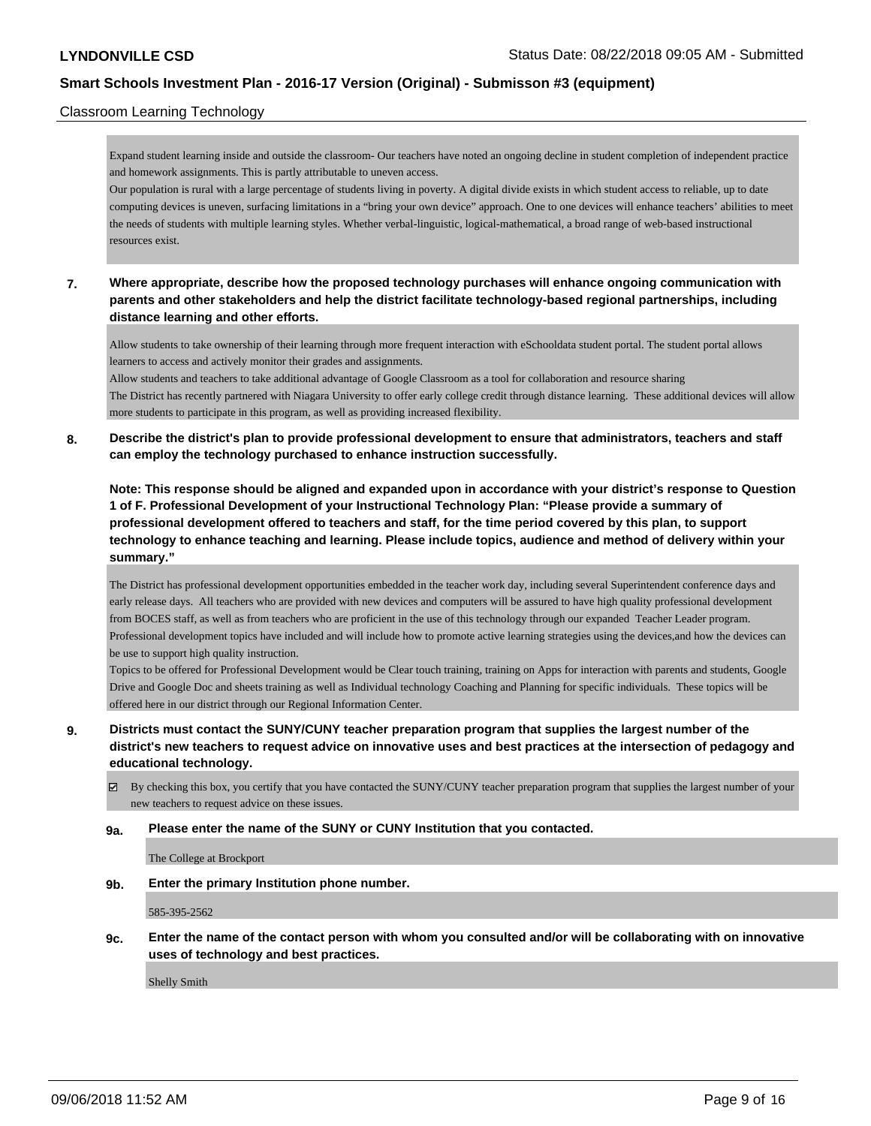## Classroom Learning Technology

Expand student learning inside and outside the classroom- Our teachers have noted an ongoing decline in student completion of independent practice and homework assignments. This is partly attributable to uneven access.

Our population is rural with a large percentage of students living in poverty. A digital divide exists in which student access to reliable, up to date computing devices is uneven, surfacing limitations in a "bring your own device" approach. One to one devices will enhance teachers' abilities to meet the needs of students with multiple learning styles. Whether verbal-linguistic, logical-mathematical, a broad range of web-based instructional resources exist.

## **7. Where appropriate, describe how the proposed technology purchases will enhance ongoing communication with parents and other stakeholders and help the district facilitate technology-based regional partnerships, including distance learning and other efforts.**

Allow students to take ownership of their learning through more frequent interaction with eSchooldata student portal. The student portal allows learners to access and actively monitor their grades and assignments.

Allow students and teachers to take additional advantage of Google Classroom as a tool for collaboration and resource sharing The District has recently partnered with Niagara University to offer early college credit through distance learning. These additional devices will allow more students to participate in this program, as well as providing increased flexibility.

## **8. Describe the district's plan to provide professional development to ensure that administrators, teachers and staff can employ the technology purchased to enhance instruction successfully.**

**Note: This response should be aligned and expanded upon in accordance with your district's response to Question 1 of F. Professional Development of your Instructional Technology Plan: "Please provide a summary of professional development offered to teachers and staff, for the time period covered by this plan, to support technology to enhance teaching and learning. Please include topics, audience and method of delivery within your summary."**

The District has professional development opportunities embedded in the teacher work day, including several Superintendent conference days and early release days. All teachers who are provided with new devices and computers will be assured to have high quality professional development from BOCES staff, as well as from teachers who are proficient in the use of this technology through our expanded Teacher Leader program. Professional development topics have included and will include how to promote active learning strategies using the devices,and how the devices can be use to support high quality instruction.

Topics to be offered for Professional Development would be Clear touch training, training on Apps for interaction with parents and students, Google Drive and Google Doc and sheets training as well as Individual technology Coaching and Planning for specific individuals. These topics will be offered here in our district through our Regional Information Center.

**9. Districts must contact the SUNY/CUNY teacher preparation program that supplies the largest number of the district's new teachers to request advice on innovative uses and best practices at the intersection of pedagogy and educational technology.**

 $\boxtimes$  By checking this box, you certify that you have contacted the SUNY/CUNY teacher preparation program that supplies the largest number of your new teachers to request advice on these issues.

### **9a. Please enter the name of the SUNY or CUNY Institution that you contacted.**

The College at Brockport

**9b. Enter the primary Institution phone number.**

585-395-2562

**9c. Enter the name of the contact person with whom you consulted and/or will be collaborating with on innovative uses of technology and best practices.**

Shelly Smith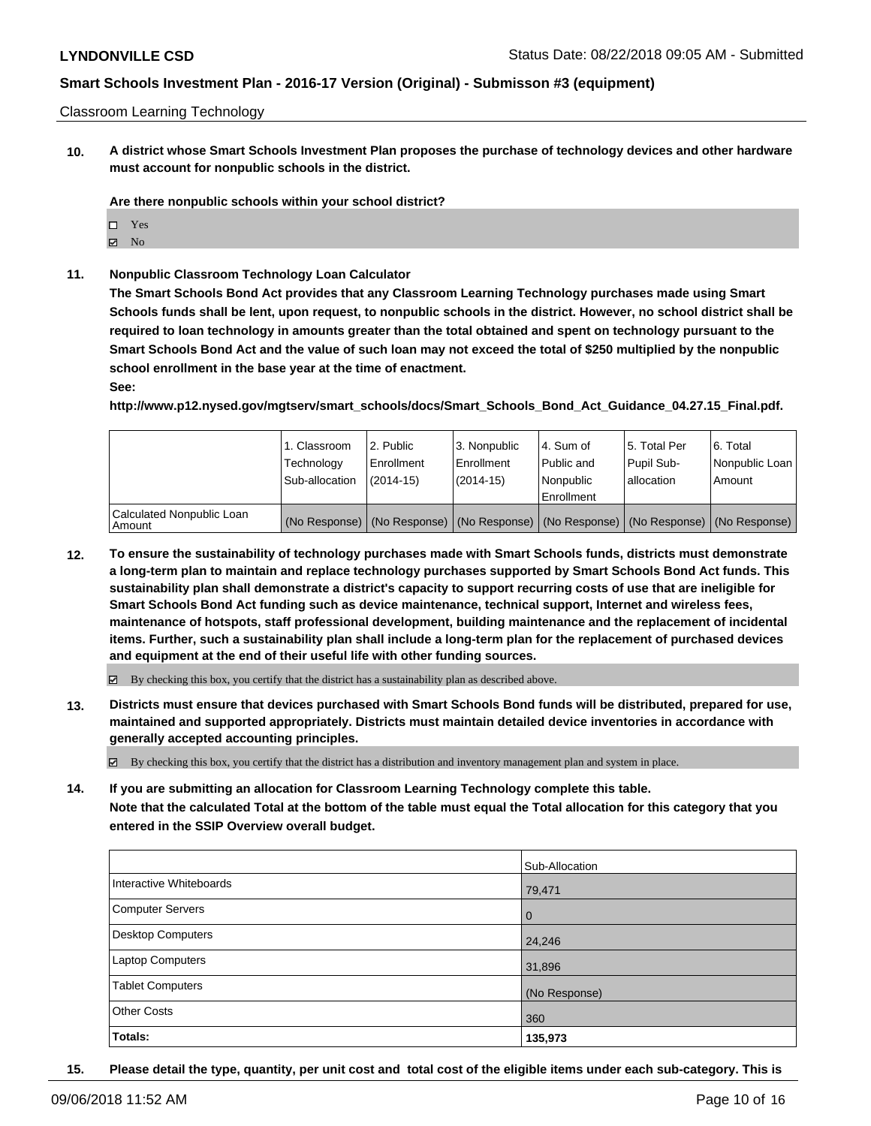### Classroom Learning Technology

**10. A district whose Smart Schools Investment Plan proposes the purchase of technology devices and other hardware must account for nonpublic schools in the district.**

**Are there nonpublic schools within your school district?**

- □ Yes
- $\boxtimes$  No
- **11. Nonpublic Classroom Technology Loan Calculator**

**The Smart Schools Bond Act provides that any Classroom Learning Technology purchases made using Smart Schools funds shall be lent, upon request, to nonpublic schools in the district. However, no school district shall be required to loan technology in amounts greater than the total obtained and spent on technology pursuant to the Smart Schools Bond Act and the value of such loan may not exceed the total of \$250 multiplied by the nonpublic school enrollment in the base year at the time of enactment.**

**See:**

**http://www.p12.nysed.gov/mgtserv/smart\_schools/docs/Smart\_Schools\_Bond\_Act\_Guidance\_04.27.15\_Final.pdf.**

|                                     | 1. Classroom<br>Technology<br>Sub-allocation | l 2. Public<br>l Enrollment<br>$(2014 - 15)$ | 3. Nonpublic<br>Enrollment<br>$(2014-15)$ | l 4. Sum of<br>Public and<br>Nonpublic<br>Enrollment | 15. Total Per<br>Pupil Sub-<br>lallocation | 6. Total<br>Nonpublic Loan<br>Amount                                                          |
|-------------------------------------|----------------------------------------------|----------------------------------------------|-------------------------------------------|------------------------------------------------------|--------------------------------------------|-----------------------------------------------------------------------------------------------|
| Calculated Nonpublic Loan<br>Amount |                                              |                                              |                                           |                                                      |                                            | (No Response)   (No Response)   (No Response)   (No Response)   (No Response)   (No Response) |

**12. To ensure the sustainability of technology purchases made with Smart Schools funds, districts must demonstrate a long-term plan to maintain and replace technology purchases supported by Smart Schools Bond Act funds. This sustainability plan shall demonstrate a district's capacity to support recurring costs of use that are ineligible for Smart Schools Bond Act funding such as device maintenance, technical support, Internet and wireless fees, maintenance of hotspots, staff professional development, building maintenance and the replacement of incidental items. Further, such a sustainability plan shall include a long-term plan for the replacement of purchased devices and equipment at the end of their useful life with other funding sources.**

By checking this box, you certify that the district has a sustainability plan as described above.

**13. Districts must ensure that devices purchased with Smart Schools Bond funds will be distributed, prepared for use, maintained and supported appropriately. Districts must maintain detailed device inventories in accordance with generally accepted accounting principles.**

 $\boxtimes$  By checking this box, you certify that the district has a distribution and inventory management plan and system in place.

**14. If you are submitting an allocation for Classroom Learning Technology complete this table. Note that the calculated Total at the bottom of the table must equal the Total allocation for this category that you entered in the SSIP Overview overall budget.**

|                          | Sub-Allocation |
|--------------------------|----------------|
| Interactive Whiteboards  | 79,471         |
| <b>Computer Servers</b>  | $\overline{0}$ |
| <b>Desktop Computers</b> | 24,246         |
| Laptop Computers         | 31,896         |
| <b>Tablet Computers</b>  | (No Response)  |
| <b>Other Costs</b>       | 360            |
| <b>Totals:</b>           | 135,973        |

**15. Please detail the type, quantity, per unit cost and total cost of the eligible items under each sub-category. This is**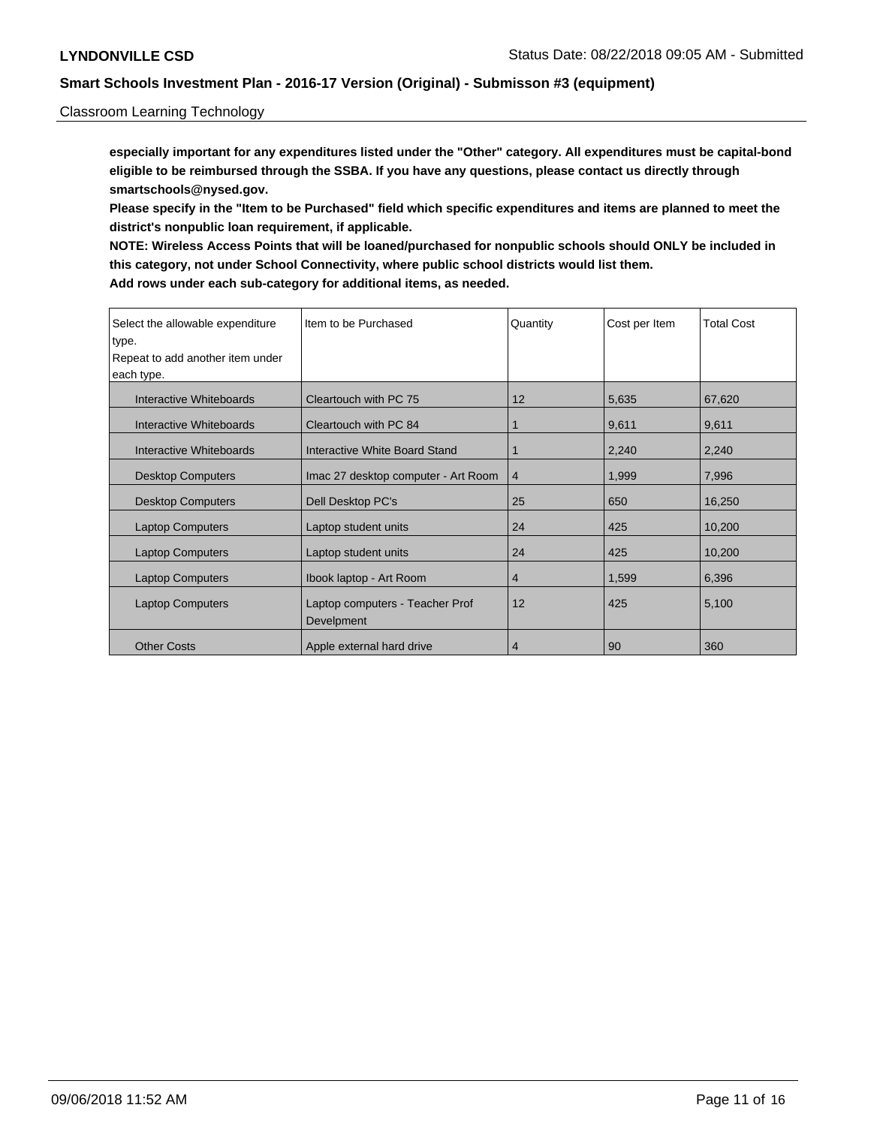### Classroom Learning Technology

**especially important for any expenditures listed under the "Other" category. All expenditures must be capital-bond eligible to be reimbursed through the SSBA. If you have any questions, please contact us directly through smartschools@nysed.gov.**

**Please specify in the "Item to be Purchased" field which specific expenditures and items are planned to meet the district's nonpublic loan requirement, if applicable.**

**NOTE: Wireless Access Points that will be loaned/purchased for nonpublic schools should ONLY be included in this category, not under School Connectivity, where public school districts would list them. Add rows under each sub-category for additional items, as needed.**

| Select the allowable expenditure | Item to be Purchased                          | Quantity       | Cost per Item | <b>Total Cost</b> |
|----------------------------------|-----------------------------------------------|----------------|---------------|-------------------|
| type.                            |                                               |                |               |                   |
| Repeat to add another item under |                                               |                |               |                   |
| each type.                       |                                               |                |               |                   |
| Interactive Whiteboards          | Cleartouch with PC 75                         | 12             | 5,635         | 67,620            |
| Interactive Whiteboards          | Cleartouch with PC 84                         |                | 9,611         | 9,611             |
| Interactive Whiteboards          | Interactive White Board Stand                 |                | 2,240         | 2,240             |
| <b>Desktop Computers</b>         | Imac 27 desktop computer - Art Room           | $\overline{4}$ | 1,999         | 7,996             |
| <b>Desktop Computers</b>         | Dell Desktop PC's                             | 25             | 650           | 16,250            |
| <b>Laptop Computers</b>          | Laptop student units                          | 24             | 425           | 10,200            |
| <b>Laptop Computers</b>          | Laptop student units                          | 24             | 425           | 10,200            |
| <b>Laptop Computers</b>          | Ibook laptop - Art Room                       | 4              | 1,599         | 6,396             |
| <b>Laptop Computers</b>          | Laptop computers - Teacher Prof<br>Develpment | 12             | 425           | 5,100             |
|                                  |                                               |                |               |                   |
| <b>Other Costs</b>               | Apple external hard drive                     | 4              | 90            | 360               |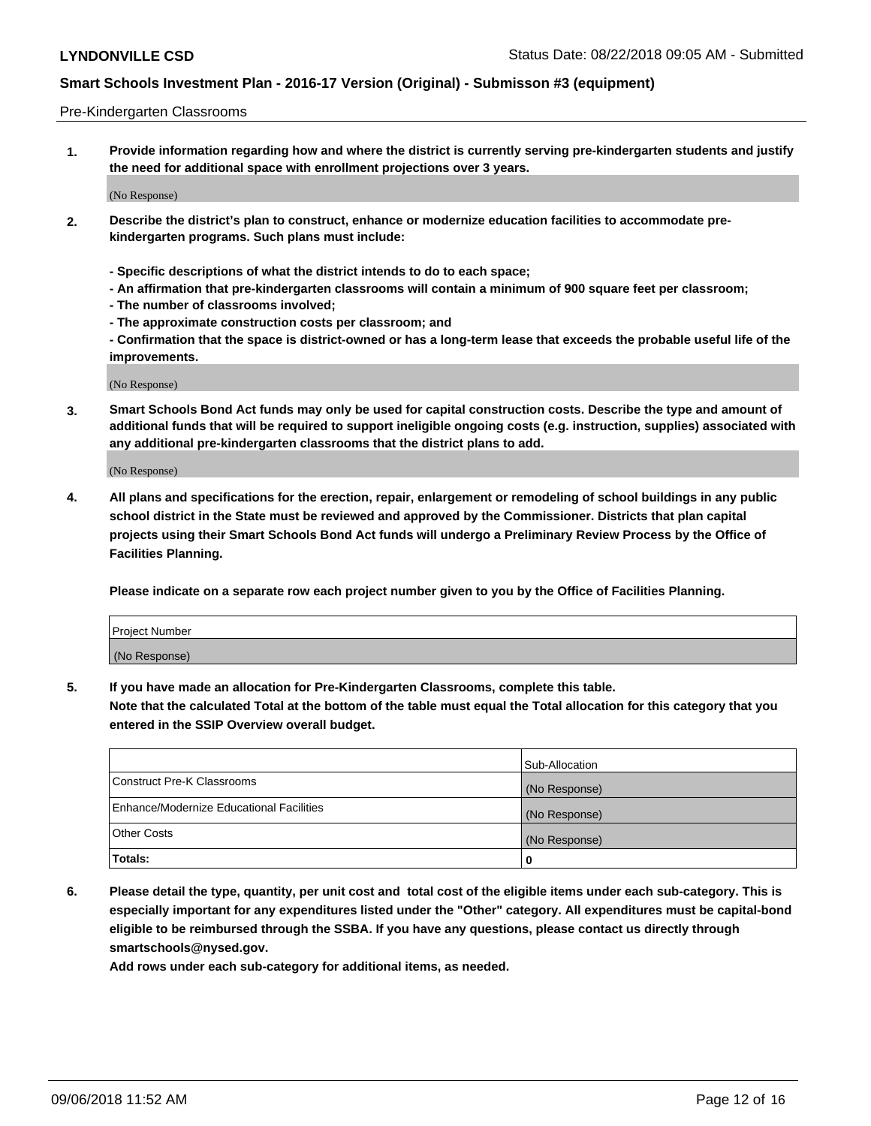### Pre-Kindergarten Classrooms

**1. Provide information regarding how and where the district is currently serving pre-kindergarten students and justify the need for additional space with enrollment projections over 3 years.**

(No Response)

- **2. Describe the district's plan to construct, enhance or modernize education facilities to accommodate prekindergarten programs. Such plans must include:**
	- **Specific descriptions of what the district intends to do to each space;**
	- **An affirmation that pre-kindergarten classrooms will contain a minimum of 900 square feet per classroom;**
	- **The number of classrooms involved;**
	- **The approximate construction costs per classroom; and**
	- **Confirmation that the space is district-owned or has a long-term lease that exceeds the probable useful life of the improvements.**

(No Response)

**3. Smart Schools Bond Act funds may only be used for capital construction costs. Describe the type and amount of additional funds that will be required to support ineligible ongoing costs (e.g. instruction, supplies) associated with any additional pre-kindergarten classrooms that the district plans to add.**

(No Response)

**4. All plans and specifications for the erection, repair, enlargement or remodeling of school buildings in any public school district in the State must be reviewed and approved by the Commissioner. Districts that plan capital projects using their Smart Schools Bond Act funds will undergo a Preliminary Review Process by the Office of Facilities Planning.**

**Please indicate on a separate row each project number given to you by the Office of Facilities Planning.**

| Project Number |  |
|----------------|--|
| (No Response)  |  |
|                |  |

**5. If you have made an allocation for Pre-Kindergarten Classrooms, complete this table.**

**Note that the calculated Total at the bottom of the table must equal the Total allocation for this category that you entered in the SSIP Overview overall budget.**

|                                          | Sub-Allocation |
|------------------------------------------|----------------|
| Construct Pre-K Classrooms               | (No Response)  |
| Enhance/Modernize Educational Facilities | (No Response)  |
| <b>Other Costs</b>                       | (No Response)  |
| Totals:                                  | 0              |

**6. Please detail the type, quantity, per unit cost and total cost of the eligible items under each sub-category. This is especially important for any expenditures listed under the "Other" category. All expenditures must be capital-bond eligible to be reimbursed through the SSBA. If you have any questions, please contact us directly through smartschools@nysed.gov.**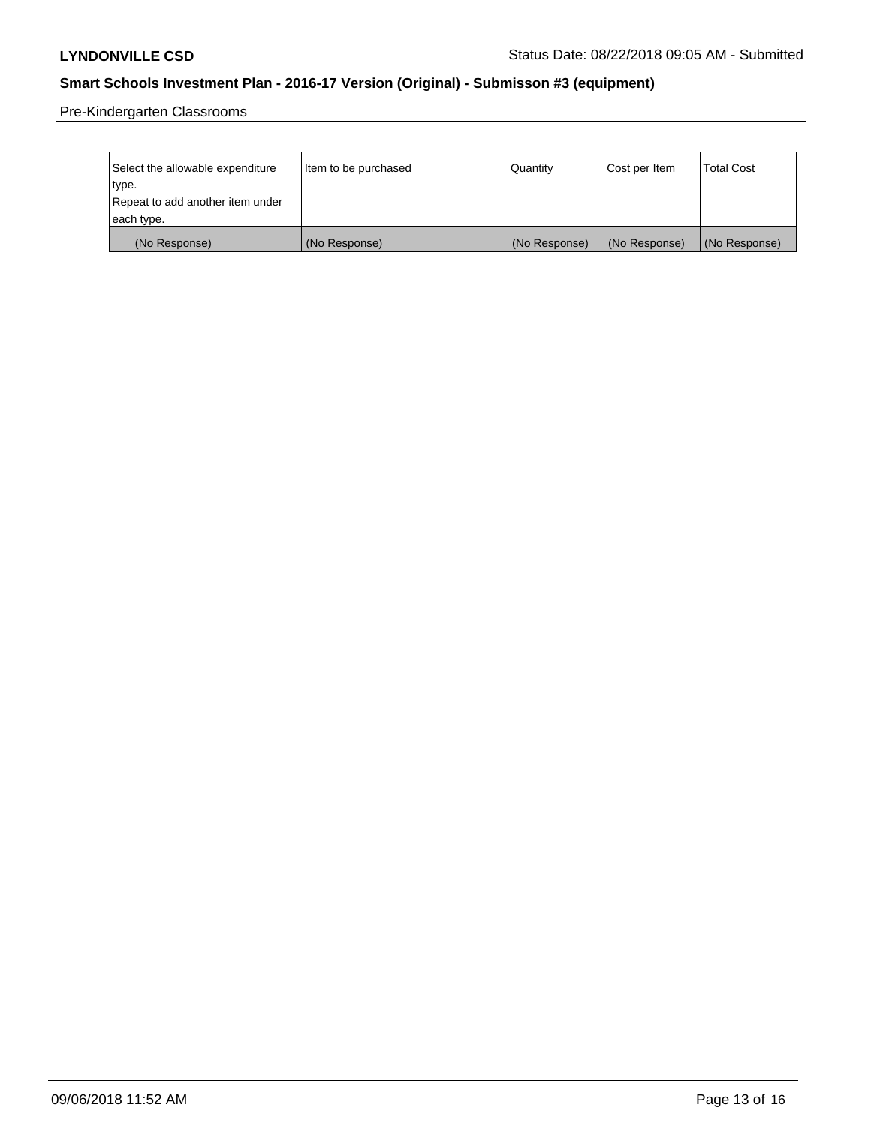Pre-Kindergarten Classrooms

| Select the allowable expenditure | Item to be purchased | Quantity      | Cost per Item | <b>Total Cost</b> |
|----------------------------------|----------------------|---------------|---------------|-------------------|
| type.                            |                      |               |               |                   |
| Repeat to add another item under |                      |               |               |                   |
| each type.                       |                      |               |               |                   |
| (No Response)                    | (No Response)        | (No Response) | (No Response) | (No Response)     |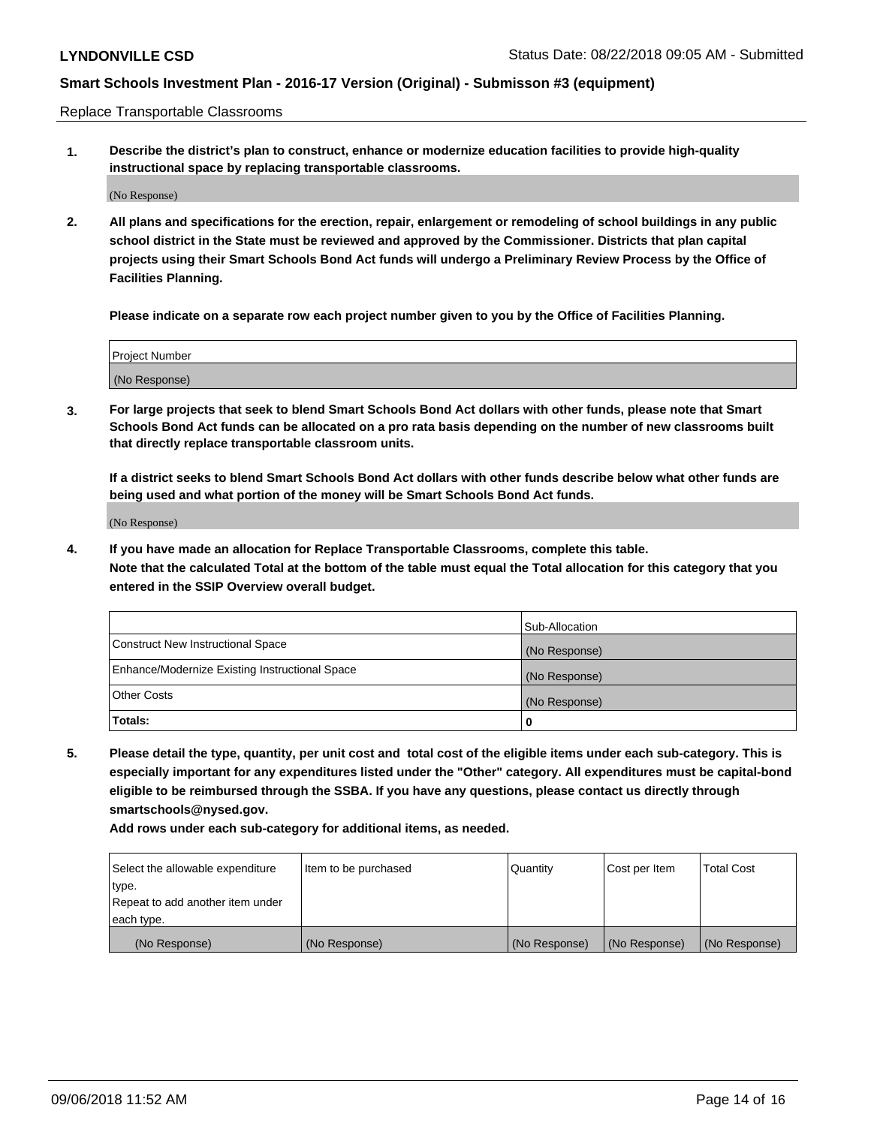Replace Transportable Classrooms

**1. Describe the district's plan to construct, enhance or modernize education facilities to provide high-quality instructional space by replacing transportable classrooms.**

(No Response)

**2. All plans and specifications for the erection, repair, enlargement or remodeling of school buildings in any public school district in the State must be reviewed and approved by the Commissioner. Districts that plan capital projects using their Smart Schools Bond Act funds will undergo a Preliminary Review Process by the Office of Facilities Planning.**

**Please indicate on a separate row each project number given to you by the Office of Facilities Planning.**

| Project Number |  |
|----------------|--|
|                |  |
|                |  |
|                |  |
|                |  |
| (No Response)  |  |
|                |  |
|                |  |
|                |  |

**3. For large projects that seek to blend Smart Schools Bond Act dollars with other funds, please note that Smart Schools Bond Act funds can be allocated on a pro rata basis depending on the number of new classrooms built that directly replace transportable classroom units.**

**If a district seeks to blend Smart Schools Bond Act dollars with other funds describe below what other funds are being used and what portion of the money will be Smart Schools Bond Act funds.**

(No Response)

**4. If you have made an allocation for Replace Transportable Classrooms, complete this table. Note that the calculated Total at the bottom of the table must equal the Total allocation for this category that you entered in the SSIP Overview overall budget.**

|                                                | Sub-Allocation |
|------------------------------------------------|----------------|
| Construct New Instructional Space              | (No Response)  |
| Enhance/Modernize Existing Instructional Space | (No Response)  |
| <b>Other Costs</b>                             | (No Response)  |
| Totals:                                        | 0              |

**5. Please detail the type, quantity, per unit cost and total cost of the eligible items under each sub-category. This is especially important for any expenditures listed under the "Other" category. All expenditures must be capital-bond eligible to be reimbursed through the SSBA. If you have any questions, please contact us directly through smartschools@nysed.gov.**

| Select the allowable expenditure | Item to be purchased | l Quantitv    | Cost per Item | <b>Total Cost</b> |
|----------------------------------|----------------------|---------------|---------------|-------------------|
| type.                            |                      |               |               |                   |
| Repeat to add another item under |                      |               |               |                   |
| each type.                       |                      |               |               |                   |
| (No Response)                    | (No Response)        | (No Response) | (No Response) | (No Response)     |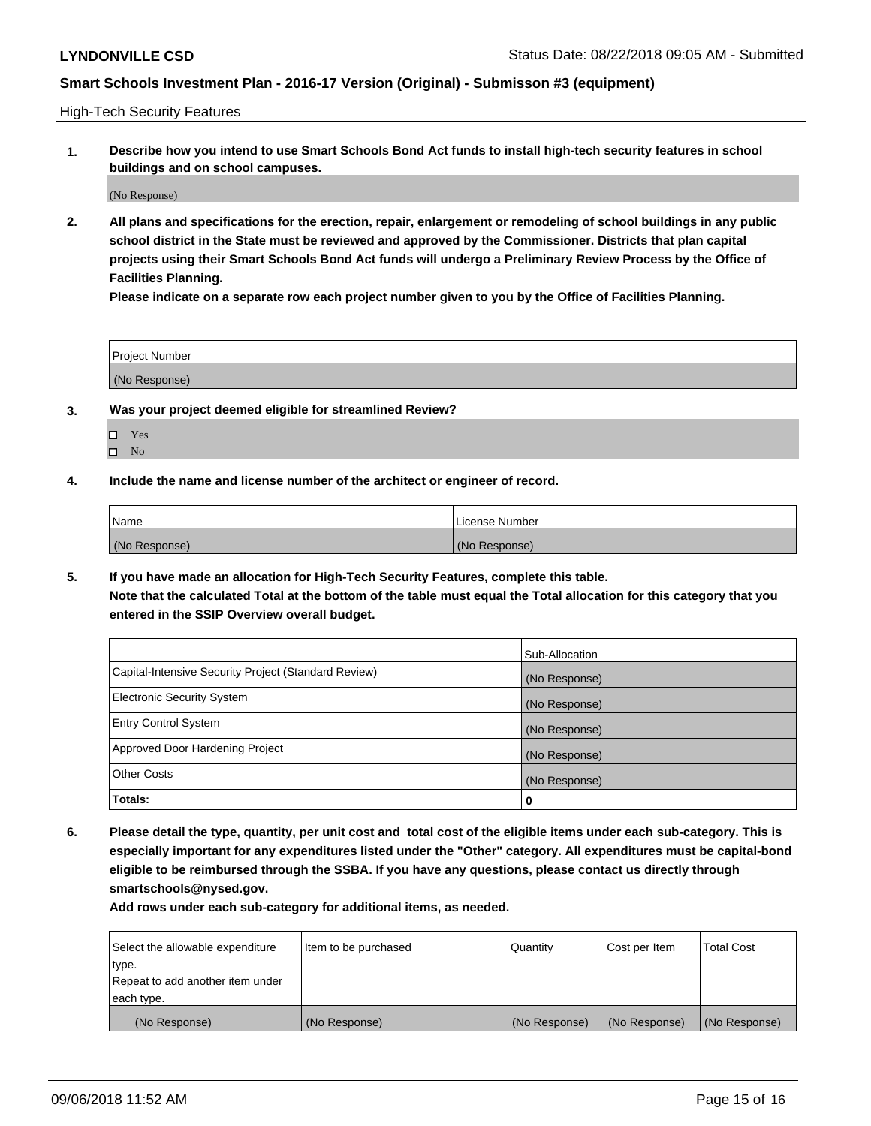High-Tech Security Features

**1. Describe how you intend to use Smart Schools Bond Act funds to install high-tech security features in school buildings and on school campuses.**

(No Response)

**2. All plans and specifications for the erection, repair, enlargement or remodeling of school buildings in any public school district in the State must be reviewed and approved by the Commissioner. Districts that plan capital projects using their Smart Schools Bond Act funds will undergo a Preliminary Review Process by the Office of Facilities Planning.** 

**Please indicate on a separate row each project number given to you by the Office of Facilities Planning.**

| <b>Project Number</b> |  |
|-----------------------|--|
| (No Response)         |  |

- **3. Was your project deemed eligible for streamlined Review?**
	- Yes
	- $\square$  No
- **4. Include the name and license number of the architect or engineer of record.**

| <b>Name</b>   | License Number |
|---------------|----------------|
| (No Response) | (No Response)  |

**5. If you have made an allocation for High-Tech Security Features, complete this table.**

**Note that the calculated Total at the bottom of the table must equal the Total allocation for this category that you entered in the SSIP Overview overall budget.**

|                                                      | Sub-Allocation |
|------------------------------------------------------|----------------|
| Capital-Intensive Security Project (Standard Review) | (No Response)  |
| <b>Electronic Security System</b>                    | (No Response)  |
| <b>Entry Control System</b>                          | (No Response)  |
| Approved Door Hardening Project                      | (No Response)  |
| <b>Other Costs</b>                                   | (No Response)  |
| Totals:                                              | 0              |

**6. Please detail the type, quantity, per unit cost and total cost of the eligible items under each sub-category. This is especially important for any expenditures listed under the "Other" category. All expenditures must be capital-bond eligible to be reimbursed through the SSBA. If you have any questions, please contact us directly through smartschools@nysed.gov.**

| Select the allowable expenditure | Item to be purchased | Quantity      | Cost per Item | <b>Total Cost</b> |
|----------------------------------|----------------------|---------------|---------------|-------------------|
| type.                            |                      |               |               |                   |
| Repeat to add another item under |                      |               |               |                   |
| each type.                       |                      |               |               |                   |
| (No Response)                    | (No Response)        | (No Response) | (No Response) | (No Response)     |